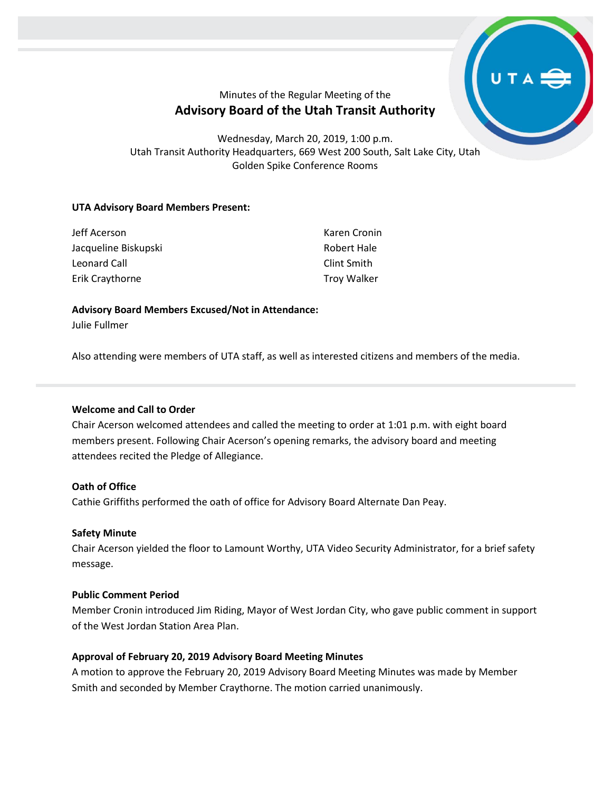

# Minutes of the Regular Meeting of the **Advisory Board of the Utah Transit Authority**

Wednesday, March 20, 2019, 1:00 p.m. Utah Transit Authority Headquarters, 669 West 200 South, Salt Lake City, Utah Golden Spike Conference Rooms

# **UTA Advisory Board Members Present:**

| Jeff Acerson         | Karen Cronin       |
|----------------------|--------------------|
| Jacqueline Biskupski | Robert Hale        |
| Leonard Call         | Clint Smith        |
| Erik Craythorne      | <b>Troy Walker</b> |

# **Advisory Board Members Excused/Not in Attendance:**

Julie Fullmer

Also attending were members of UTA staff, as well as interested citizens and members of the media.

# **Welcome and Call to Order**

Chair Acerson welcomed attendees and called the meeting to order at 1:01 p.m. with eight board members present. Following Chair Acerson's opening remarks, the advisory board and meeting attendees recited the Pledge of Allegiance.

# **Oath of Office**

Cathie Griffiths performed the oath of office for Advisory Board Alternate Dan Peay.

# **Safety Minute**

Chair Acerson yielded the floor to Lamount Worthy, UTA Video Security Administrator, for a brief safety message.

# **Public Comment Period**

Member Cronin introduced Jim Riding, Mayor of West Jordan City, who gave public comment in support of the West Jordan Station Area Plan.

# **Approval of February 20, 2019 Advisory Board Meeting Minutes**

A motion to approve the February 20, 2019 Advisory Board Meeting Minutes was made by Member Smith and seconded by Member Craythorne. The motion carried unanimously.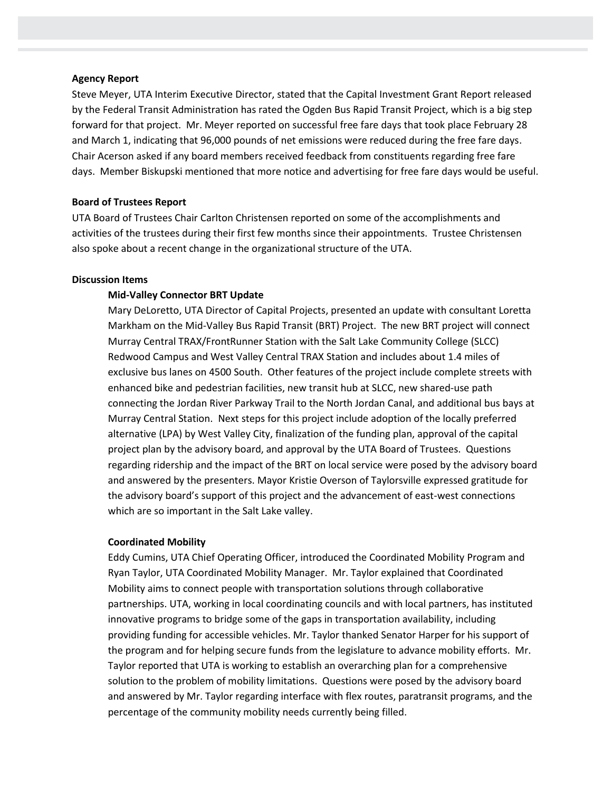#### **Agency Report**

Steve Meyer, UTA Interim Executive Director, stated that the Capital Investment Grant Report released by the Federal Transit Administration has rated the Ogden Bus Rapid Transit Project, which is a big step forward for that project. Mr. Meyer reported on successful free fare days that took place February 28 and March 1, indicating that 96,000 pounds of net emissions were reduced during the free fare days. Chair Acerson asked if any board members received feedback from constituents regarding free fare days. Member Biskupski mentioned that more notice and advertising for free fare days would be useful.

#### **Board of Trustees Report**

UTA Board of Trustees Chair Carlton Christensen reported on some of the accomplishments and activities of the trustees during their first few months since their appointments. Trustee Christensen also spoke about a recent change in the organizational structure of the UTA.

#### **Discussion Items**

#### **Mid-Valley Connector BRT Update**

Mary DeLoretto, UTA Director of Capital Projects, presented an update with consultant Loretta Markham on the Mid-Valley Bus Rapid Transit (BRT) Project. The new BRT project will connect Murray Central TRAX/FrontRunner Station with the Salt Lake Community College (SLCC) Redwood Campus and West Valley Central TRAX Station and includes about 1.4 miles of exclusive bus lanes on 4500 South. Other features of the project include complete streets with enhanced bike and pedestrian facilities, new transit hub at SLCC, new shared-use path connecting the Jordan River Parkway Trail to the North Jordan Canal, and additional bus bays at Murray Central Station. Next steps for this project include adoption of the locally preferred alternative (LPA) by West Valley City, finalization of the funding plan, approval of the capital project plan by the advisory board, and approval by the UTA Board of Trustees. Questions regarding ridership and the impact of the BRT on local service were posed by the advisory board and answered by the presenters. Mayor Kristie Overson of Taylorsville expressed gratitude for the advisory board's support of this project and the advancement of east-west connections which are so important in the Salt Lake valley.

#### **Coordinated Mobility**

Eddy Cumins, UTA Chief Operating Officer, introduced the Coordinated Mobility Program and Ryan Taylor, UTA Coordinated Mobility Manager. Mr. Taylor explained that Coordinated Mobility aims to connect people with transportation solutions through collaborative partnerships. UTA, working in local coordinating councils and with local partners, has instituted innovative programs to bridge some of the gaps in transportation availability, including providing funding for accessible vehicles. Mr. Taylor thanked Senator Harper for his support of the program and for helping secure funds from the legislature to advance mobility efforts. Mr. Taylor reported that UTA is working to establish an overarching plan for a comprehensive solution to the problem of mobility limitations. Questions were posed by the advisory board and answered by Mr. Taylor regarding interface with flex routes, paratransit programs, and the percentage of the community mobility needs currently being filled.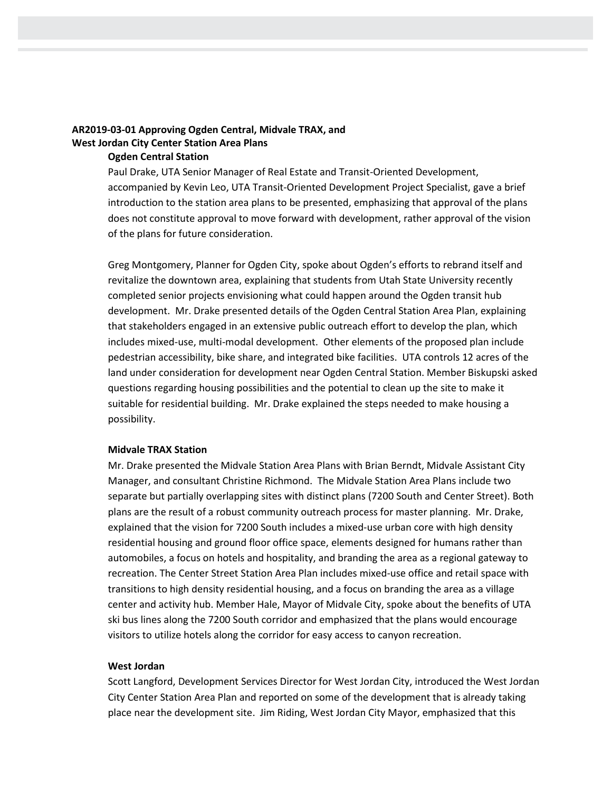# **AR2019-03-01 Approving Ogden Central, Midvale TRAX, and West Jordan City Center Station Area Plans**

# **Ogden Central Station**

Paul Drake, UTA Senior Manager of Real Estate and Transit-Oriented Development, accompanied by Kevin Leo, UTA Transit-Oriented Development Project Specialist, gave a brief introduction to the station area plans to be presented, emphasizing that approval of the plans does not constitute approval to move forward with development, rather approval of the vision of the plans for future consideration.

Greg Montgomery, Planner for Ogden City, spoke about Ogden's efforts to rebrand itself and revitalize the downtown area, explaining that students from Utah State University recently completed senior projects envisioning what could happen around the Ogden transit hub development. Mr. Drake presented details of the Ogden Central Station Area Plan, explaining that stakeholders engaged in an extensive public outreach effort to develop the plan, which includes mixed-use, multi-modal development. Other elements of the proposed plan include pedestrian accessibility, bike share, and integrated bike facilities. UTA controls 12 acres of the land under consideration for development near Ogden Central Station. Member Biskupski asked questions regarding housing possibilities and the potential to clean up the site to make it suitable for residential building. Mr. Drake explained the steps needed to make housing a possibility.

### **Midvale TRAX Station**

Mr. Drake presented the Midvale Station Area Plans with Brian Berndt, Midvale Assistant City Manager, and consultant Christine Richmond. The Midvale Station Area Plans include two separate but partially overlapping sites with distinct plans (7200 South and Center Street). Both plans are the result of a robust community outreach process for master planning. Mr. Drake, explained that the vision for 7200 South includes a mixed-use urban core with high density residential housing and ground floor office space, elements designed for humans rather than automobiles, a focus on hotels and hospitality, and branding the area as a regional gateway to recreation. The Center Street Station Area Plan includes mixed-use office and retail space with transitions to high density residential housing, and a focus on branding the area as a village center and activity hub. Member Hale, Mayor of Midvale City, spoke about the benefits of UTA ski bus lines along the 7200 South corridor and emphasized that the plans would encourage visitors to utilize hotels along the corridor for easy access to canyon recreation.

#### **West Jordan**

Scott Langford, Development Services Director for West Jordan City, introduced the West Jordan City Center Station Area Plan and reported on some of the development that is already taking place near the development site. Jim Riding, West Jordan City Mayor, emphasized that this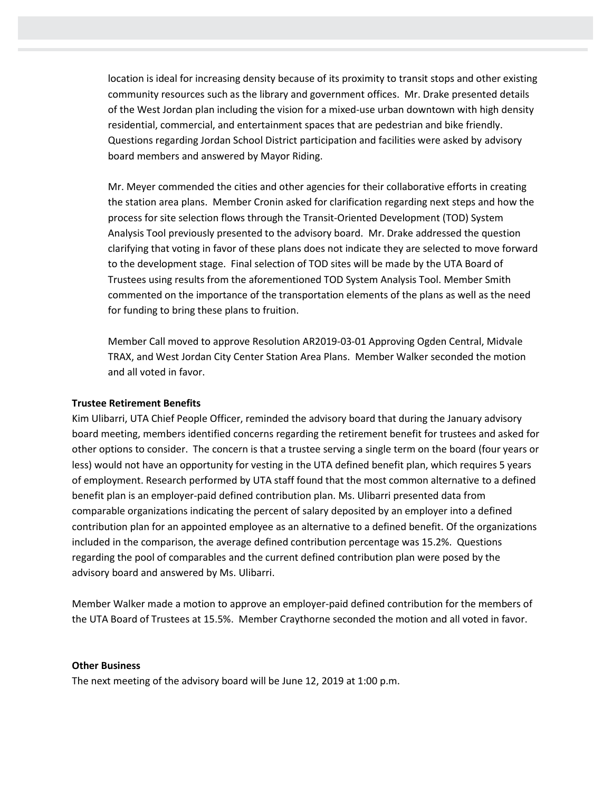location is ideal for increasing density because of its proximity to transit stops and other existing community resources such as the library and government offices. Mr. Drake presented details of the West Jordan plan including the vision for a mixed-use urban downtown with high density residential, commercial, and entertainment spaces that are pedestrian and bike friendly. Questions regarding Jordan School District participation and facilities were asked by advisory board members and answered by Mayor Riding.

Mr. Meyer commended the cities and other agencies for their collaborative efforts in creating the station area plans. Member Cronin asked for clarification regarding next steps and how the process for site selection flows through the Transit-Oriented Development (TOD) System Analysis Tool previously presented to the advisory board. Mr. Drake addressed the question clarifying that voting in favor of these plans does not indicate they are selected to move forward to the development stage. Final selection of TOD sites will be made by the UTA Board of Trustees using results from the aforementioned TOD System Analysis Tool. Member Smith commented on the importance of the transportation elements of the plans as well as the need for funding to bring these plans to fruition.

Member Call moved to approve Resolution AR2019-03-01 Approving Ogden Central, Midvale TRAX, and West Jordan City Center Station Area Plans. Member Walker seconded the motion and all voted in favor.

#### **Trustee Retirement Benefits**

Kim Ulibarri, UTA Chief People Officer, reminded the advisory board that during the January advisory board meeting, members identified concerns regarding the retirement benefit for trustees and asked for other options to consider. The concern is that a trustee serving a single term on the board (four years or less) would not have an opportunity for vesting in the UTA defined benefit plan, which requires 5 years of employment. Research performed by UTA staff found that the most common alternative to a defined benefit plan is an employer-paid defined contribution plan. Ms. Ulibarri presented data from comparable organizations indicating the percent of salary deposited by an employer into a defined contribution plan for an appointed employee as an alternative to a defined benefit. Of the organizations included in the comparison, the average defined contribution percentage was 15.2%. Questions regarding the pool of comparables and the current defined contribution plan were posed by the advisory board and answered by Ms. Ulibarri.

Member Walker made a motion to approve an employer-paid defined contribution for the members of the UTA Board of Trustees at 15.5%. Member Craythorne seconded the motion and all voted in favor.

#### **Other Business**

The next meeting of the advisory board will be June 12, 2019 at 1:00 p.m.